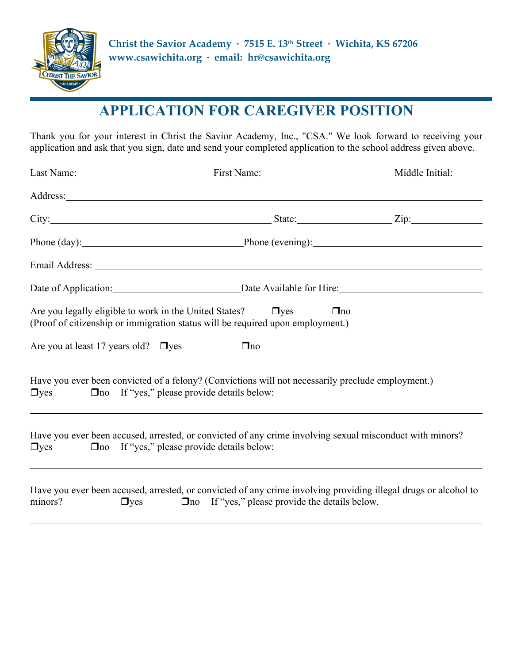

# **APPLICATION FOR CAREGIVER POSITION**

Thank you for your interest in Christ the Savior Academy, Inc., "CSA." We look forward to receiving your application and ask that you sign, date and send your completed application to the school address given above.

|                                                              | Last Name: Middle Initial: Manne: Middle Initial:                                                                                                                                   |  |
|--------------------------------------------------------------|-------------------------------------------------------------------------------------------------------------------------------------------------------------------------------------|--|
|                                                              |                                                                                                                                                                                     |  |
|                                                              | City: Zip: Zip: Zip:                                                                                                                                                                |  |
|                                                              | Phone (day): Phone (evening): Phone (evening):                                                                                                                                      |  |
|                                                              |                                                                                                                                                                                     |  |
|                                                              | Date of Application: Date Available for Hire: Date Opplication:                                                                                                                     |  |
|                                                              | Are you legally eligible to work in the United States? $\Box$ yes<br>$\Box$ no<br>(Proof of citizenship or immigration status will be required upon employment.)                    |  |
| Are you at least 17 years old? $\Box$ yes                    | $\Box$ no                                                                                                                                                                           |  |
| □yes □ □ no If "yes," please provide details below:          | Have you ever been convicted of a felony? (Convictions will not necessarily preclude employment.)                                                                                   |  |
| $\Box$ yes $\Box$ no If "yes," please provide details below: | Have you ever been accused, arrested, or convicted of any crime involving sexual misconduct with minors?                                                                            |  |
| minors?                                                      | Have you ever been accused, arrested, or convicted of any crime involving providing illegal drugs or alcohol to<br>$\Box$ yes $\Box$ no If "yes," please provide the details below. |  |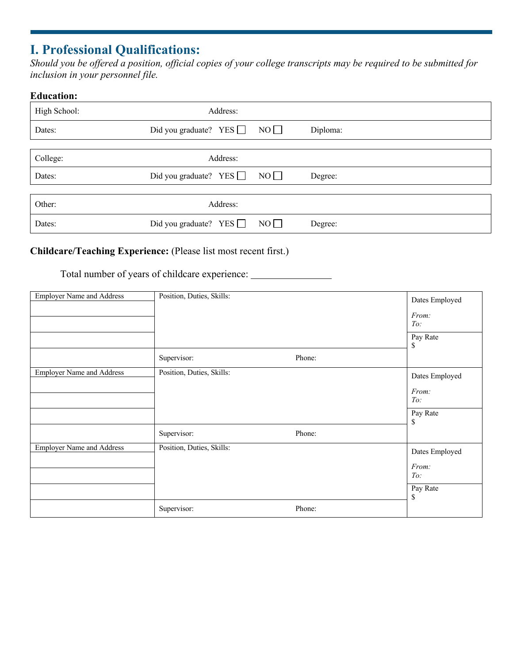## **I. Professional Qualifications:**

*Should you be offered a position, official copies of your college transcripts may be required to be submitted for inclusion in your personnel file.*

# **Education:** High School: Address: Dates: Did you graduate?  $YES \Box NO \Box$  Diploma: College: Address: Dates: Did you graduate? YES NO Degree: Other: Address: Dates: Did you graduate? YES NO Degree:

#### **Childcare/Teaching Experience:** (Please list most recent first.)

Total number of years of childcare experience:

| <b>Employer Name and Address</b> | Position, Duties, Skills: |        | Dates Employed<br>From:<br>To:<br>Pay Rate       |
|----------------------------------|---------------------------|--------|--------------------------------------------------|
|                                  | Supervisor:               | Phone: | \$                                               |
| <b>Employer Name and Address</b> | Position, Duties, Skills: |        | Dates Employed<br>From:<br>To:<br>Pay Rate<br>\$ |
|                                  | Supervisor:               | Phone: |                                                  |
| <b>Employer Name and Address</b> | Position, Duties, Skills: |        | Dates Employed<br>From:<br>To:<br>Pay Rate<br>\$ |
|                                  | Supervisor:               | Phone: |                                                  |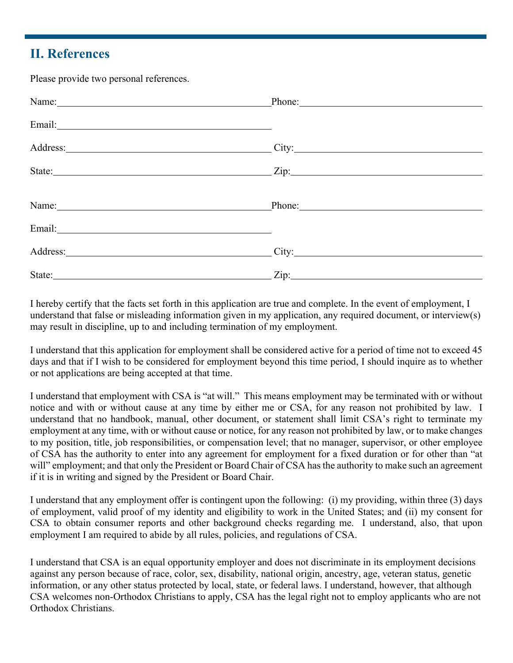### **II. References**

Please provide two personal references.

| Name: Name and the service of the service of the service of the service of the service of the service of the service of the service of the service of the service of the service of the service of the service of the service  |        |
|--------------------------------------------------------------------------------------------------------------------------------------------------------------------------------------------------------------------------------|--------|
|                                                                                                                                                                                                                                |        |
| Address: 1000 million and the contract of the contract of the contract of the contract of the contract of the contract of the contract of the contract of the contract of the contract of the contract of the contract of the  | City:  |
| State: Zip: Zip: Zip:                                                                                                                                                                                                          |        |
| Name: Name and the set of the set of the set of the set of the set of the set of the set of the set of the set of the set of the set of the set of the set of the set of the set of the set of the set of the set of the set o | Phone: |
|                                                                                                                                                                                                                                |        |
|                                                                                                                                                                                                                                |        |
| State: 2008. Example 2014 12:00:00 PM 2014 12:00:00 PM 2014 12:00:00 PM 2014 12:00:00 PM 2014 12:00:00 PM 2014                                                                                                                 |        |

I hereby certify that the facts set forth in this application are true and complete. In the event of employment, I understand that false or misleading information given in my application, any required document, or interview(s) may result in discipline, up to and including termination of my employment.

I understand that this application for employment shall be considered active for a period of time not to exceed 45 days and that if I wish to be considered for employment beyond this time period, I should inquire as to whether or not applications are being accepted at that time.

I understand that employment with CSA is "at will." This means employment may be terminated with or without notice and with or without cause at any time by either me or CSA, for any reason not prohibited by law. I understand that no handbook, manual, other document, or statement shall limit CSA's right to terminate my employment at any time, with or without cause or notice, for any reason not prohibited by law, or to make changes to my position, title, job responsibilities, or compensation level; that no manager, supervisor, or other employee of CSA has the authority to enter into any agreement for employment for a fixed duration or for other than "at will" employment; and that only the President or Board Chair of CSA has the authority to make such an agreement if it is in writing and signed by the President or Board Chair.

I understand that any employment offer is contingent upon the following: (i) my providing, within three (3) days of employment, valid proof of my identity and eligibility to work in the United States; and (ii) my consent for CSA to obtain consumer reports and other background checks regarding me. I understand, also, that upon employment I am required to abide by all rules, policies, and regulations of CSA.

I understand that CSA is an equal opportunity employer and does not discriminate in its employment decisions against any person because of race, color, sex, disability, national origin, ancestry, age, veteran status, genetic information, or any other status protected by local, state, or federal laws. I understand, however, that although CSA welcomes non-Orthodox Christians to apply, CSA has the legal right not to employ applicants who are not Orthodox Christians.